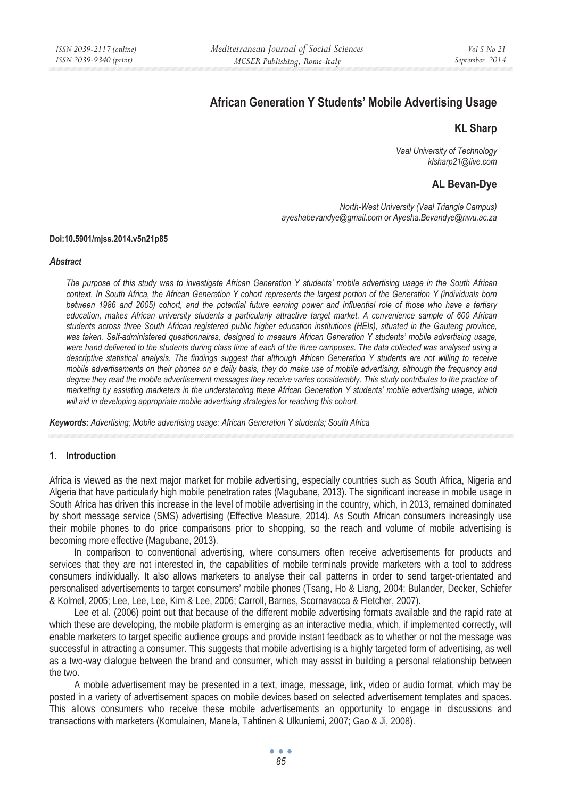# **African Generation Y Students' Mobile Advertising Usage**

## **KL Sharp**

*Vaal University of Technology klsharp21@live.com* 

## **AL Bevan-Dye**

*North-West University (Vaal Triangle Campus) ayeshabevandye@gmail.com or Ayesha.Bevandye@nwu.ac.za* 

#### **Doi:10.5901/mjss.2014.v5n21p85**

#### *Abstract*

*The purpose of this study was to investigate African Generation Y students' mobile advertising usage in the South African context. In South Africa, the African Generation Y cohort represents the largest portion of the Generation Y (individuals born between 1986 and 2005) cohort, and the potential future earning power and influential role of those who have a tertiary education, makes African university students a particularly attractive target market. A convenience sample of 600 African students across three South African registered public higher education institutions (HEIs), situated in the Gauteng province,*  was taken. Self-administered questionnaires, designed to measure African Generation Y students' mobile advertising usage, *were hand delivered to the students during class time at each of the three campuses. The data collected was analysed using a descriptive statistical analysis. The findings suggest that although African Generation Y students are not willing to receive mobile advertisements on their phones on a daily basis, they do make use of mobile advertising, although the frequency and degree they read the mobile advertisement messages they receive varies considerably. This study contributes to the practice of marketing by assisting marketers in the understanding these African Generation Y students' mobile advertising usage, which will aid in developing appropriate mobile advertising strategies for reaching this cohort.* 

*Keywords: Advertising; Mobile advertising usage; African Generation Y students; South Africa*

#### **1. Introduction**

Africa is viewed as the next major market for mobile advertising, especially countries such as South Africa, Nigeria and Algeria that have particularly high mobile penetration rates (Magubane, 2013). The significant increase in mobile usage in South Africa has driven this increase in the level of mobile advertising in the country, which, in 2013, remained dominated by short message service (SMS) advertising (Effective Measure, 2014). As South African consumers increasingly use their mobile phones to do price comparisons prior to shopping, so the reach and volume of mobile advertising is becoming more effective (Magubane, 2013).

In comparison to conventional advertising, where consumers often receive advertisements for products and services that they are not interested in, the capabilities of mobile terminals provide marketers with a tool to address consumers individually. It also allows marketers to analyse their call patterns in order to send target-orientated and personalised advertisements to target consumers' mobile phones (Tsang, Ho & Liang, 2004; Bulander, Decker, Schiefer & Kolmel, 2005; Lee, Lee, Lee, Kim & Lee, 2006; Carroll, Barnes, Scornavacca & Fletcher, 2007).

Lee et al*.* (2006) point out that because of the different mobile advertising formats available and the rapid rate at which these are developing, the mobile platform is emerging as an interactive media, which, if implemented correctly, will enable marketers to target specific audience groups and provide instant feedback as to whether or not the message was successful in attracting a consumer. This suggests that mobile advertising is a highly targeted form of advertising, as well as a two-way dialogue between the brand and consumer, which may assist in building a personal relationship between the two.

A mobile advertisement may be presented in a text, image, message, link, video or audio format, which may be posted in a variety of advertisement spaces on mobile devices based on selected advertisement templates and spaces. This allows consumers who receive these mobile advertisements an opportunity to engage in discussions and transactions with marketers (Komulainen, Manela, Tahtinen & Ulkuniemi, 2007; Gao & Ji, 2008).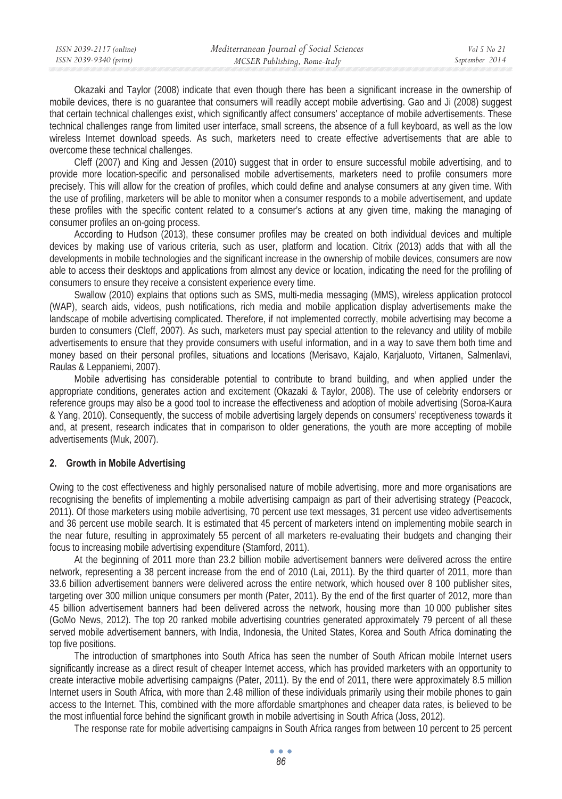Okazaki and Taylor (2008) indicate that even though there has been a significant increase in the ownership of mobile devices, there is no guarantee that consumers will readily accept mobile advertising. Gao and Ji (2008) suggest that certain technical challenges exist, which significantly affect consumers' acceptance of mobile advertisements. These technical challenges range from limited user interface, small screens, the absence of a full keyboard, as well as the low wireless Internet download speeds. As such, marketers need to create effective advertisements that are able to overcome these technical challenges.

Cleff (2007) and King and Jessen (2010) suggest that in order to ensure successful mobile advertising, and to provide more location-specific and personalised mobile advertisements, marketers need to profile consumers more precisely. This will allow for the creation of profiles, which could define and analyse consumers at any given time. With the use of profiling, marketers will be able to monitor when a consumer responds to a mobile advertisement, and update these profiles with the specific content related to a consumer's actions at any given time, making the managing of consumer profiles an on-going process.

According to Hudson (2013), these consumer profiles may be created on both individual devices and multiple devices by making use of various criteria, such as user, platform and location. Citrix (2013) adds that with all the developments in mobile technologies and the significant increase in the ownership of mobile devices, consumers are now able to access their desktops and applications from almost any device or location, indicating the need for the profiling of consumers to ensure they receive a consistent experience every time.

Swallow (2010) explains that options such as SMS, multi-media messaging (MMS), wireless application protocol (WAP), search aids, videos, push notifications, rich media and mobile application display advertisements make the landscape of mobile advertising complicated. Therefore, if not implemented correctly, mobile advertising may become a burden to consumers (Cleff, 2007). As such, marketers must pay special attention to the relevancy and utility of mobile advertisements to ensure that they provide consumers with useful information, and in a way to save them both time and money based on their personal profiles, situations and locations (Merisavo, Kajalo, Karjaluoto, Virtanen, Salmenlavi, Raulas & Leppaniemi, 2007).

Mobile advertising has considerable potential to contribute to brand building, and when applied under the appropriate conditions, generates action and excitement (Okazaki & Taylor, 2008). The use of celebrity endorsers or reference groups may also be a good tool to increase the effectiveness and adoption of mobile advertising (Soroa-Kaura & Yang, 2010). Consequently, the success of mobile advertising largely depends on consumers' receptiveness towards it and, at present, research indicates that in comparison to older generations, the youth are more accepting of mobile advertisements (Muk, 2007).

#### **2. Growth in Mobile Advertising**

Owing to the cost effectiveness and highly personalised nature of mobile advertising, more and more organisations are recognising the benefits of implementing a mobile advertising campaign as part of their advertising strategy (Peacock, 2011). Of those marketers using mobile advertising, 70 percent use text messages, 31 percent use video advertisements and 36 percent use mobile search. It is estimated that 45 percent of marketers intend on implementing mobile search in the near future, resulting in approximately 55 percent of all marketers re-evaluating their budgets and changing their focus to increasing mobile advertising expenditure (Stamford, 2011).

At the beginning of 2011 more than 23.2 billion mobile advertisement banners were delivered across the entire network, representing a 38 percent increase from the end of 2010 (Lai, 2011). By the third quarter of 2011, more than 33.6 billion advertisement banners were delivered across the entire network, which housed over 8 100 publisher sites, targeting over 300 million unique consumers per month (Pater, 2011). By the end of the first quarter of 2012, more than 45 billion advertisement banners had been delivered across the network, housing more than 10 000 publisher sites (GoMo News, 2012). The top 20 ranked mobile advertising countries generated approximately 79 percent of all these served mobile advertisement banners, with India, Indonesia, the United States, Korea and South Africa dominating the top five positions.

The introduction of smartphones into South Africa has seen the number of South African mobile Internet users significantly increase as a direct result of cheaper Internet access, which has provided marketers with an opportunity to create interactive mobile advertising campaigns (Pater, 2011). By the end of 2011, there were approximately 8.5 million Internet users in South Africa, with more than 2.48 million of these individuals primarily using their mobile phones to gain access to the Internet. This, combined with the more affordable smartphones and cheaper data rates, is believed to be the most influential force behind the significant growth in mobile advertising in South Africa (Joss, 2012).

The response rate for mobile advertising campaigns in South Africa ranges from between 10 percent to 25 percent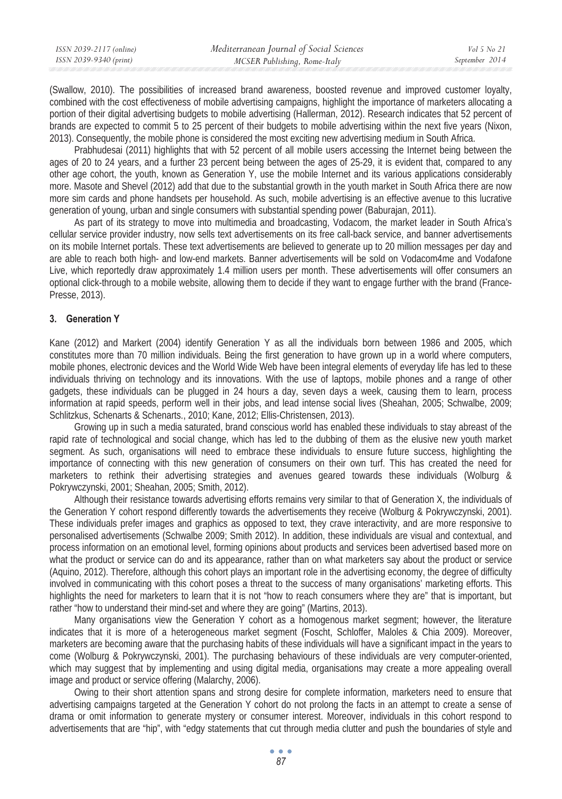| ISSN 2039-2117 (online) | Mediterranean Journal of Social Sciences | Vol 5 No 21    |
|-------------------------|------------------------------------------|----------------|
| ISSN 2039-9340 (print)  | MCSER Publishing, Rome-Italy             | September 2014 |

(Swallow, 2010). The possibilities of increased brand awareness, boosted revenue and improved customer loyalty, combined with the cost effectiveness of mobile advertising campaigns, highlight the importance of marketers allocating a portion of their digital advertising budgets to mobile advertising (Hallerman, 2012). Research indicates that 52 percent of brands are expected to commit 5 to 25 percent of their budgets to mobile advertising within the next five years (Nixon, 2013). Consequently, the mobile phone is considered the most exciting new advertising medium in South Africa.

Prabhudesai (2011) highlights that with 52 percent of all mobile users accessing the Internet being between the ages of 20 to 24 years, and a further 23 percent being between the ages of 25-29, it is evident that, compared to any other age cohort, the youth, known as Generation Y, use the mobile Internet and its various applications considerably more. Masote and Shevel (2012) add that due to the substantial growth in the youth market in South Africa there are now more sim cards and phone handsets per household. As such, mobile advertising is an effective avenue to this lucrative generation of young, urban and single consumers with substantial spending power (Baburajan, 2011).

As part of its strategy to move into multimedia and broadcasting, Vodacom, the market leader in South Africa's cellular service provider industry, now sells text advertisements on its free call-back service, and banner advertisements on its mobile Internet portals. These text advertisements are believed to generate up to 20 million messages per day and are able to reach both high- and low-end markets. Banner advertisements will be sold on Vodacom4me and Vodafone Live, which reportedly draw approximately 1.4 million users per month. These advertisements will offer consumers an optional click-through to a mobile website, allowing them to decide if they want to engage further with the brand (France-Presse, 2013).

#### **3. Generation Y**

Kane (2012) and Markert (2004) identify Generation Y as all the individuals born between 1986 and 2005, which constitutes more than 70 million individuals. Being the first generation to have grown up in a world where computers, mobile phones, electronic devices and the World Wide Web have been integral elements of everyday life has led to these individuals thriving on technology and its innovations. With the use of laptops, mobile phones and a range of other gadgets, these individuals can be plugged in 24 hours a day, seven days a week, causing them to learn, process information at rapid speeds, perform well in their jobs, and lead intense social lives (Sheahan, 2005; Schwalbe, 2009; Schlitzkus, Schenarts & Schenarts*.*, 2010; Kane, 2012; Ellis-Christensen, 2013).

Growing up in such a media saturated, brand conscious world has enabled these individuals to stay abreast of the rapid rate of technological and social change, which has led to the dubbing of them as the elusive new youth market segment. As such, organisations will need to embrace these individuals to ensure future success, highlighting the importance of connecting with this new generation of consumers on their own turf. This has created the need for marketers to rethink their advertising strategies and avenues geared towards these individuals (Wolburg & Pokrywczynski, 2001; Sheahan, 2005; Smith, 2012).

Although their resistance towards advertising efforts remains very similar to that of Generation X, the individuals of the Generation Y cohort respond differently towards the advertisements they receive (Wolburg & Pokrywczynski, 2001). These individuals prefer images and graphics as opposed to text, they crave interactivity, and are more responsive to personalised advertisements (Schwalbe 2009; Smith 2012). In addition, these individuals are visual and contextual, and process information on an emotional level, forming opinions about products and services been advertised based more on what the product or service can do and its appearance, rather than on what marketers say about the product or service (Aquino, 2012). Therefore, although this cohort plays an important role in the advertising economy, the degree of difficulty involved in communicating with this cohort poses a threat to the success of many organisations' marketing efforts. This highlights the need for marketers to learn that it is not "how to reach consumers where they are" that is important, but rather "how to understand their mind-set and where they are going" (Martins, 2013).

Many organisations view the Generation Y cohort as a homogenous market segment; however, the literature indicates that it is more of a heterogeneous market segment (Foscht, Schloffer, Maloles & Chia 2009). Moreover, marketers are becoming aware that the purchasing habits of these individuals will have a significant impact in the years to come (Wolburg & Pokrywczynski, 2001). The purchasing behaviours of these individuals are very computer-oriented, which may suggest that by implementing and using digital media, organisations may create a more appealing overall image and product or service offering (Malarchy, 2006).

Owing to their short attention spans and strong desire for complete information, marketers need to ensure that advertising campaigns targeted at the Generation Y cohort do not prolong the facts in an attempt to create a sense of drama or omit information to generate mystery or consumer interest. Moreover, individuals in this cohort respond to advertisements that are "hip", with "edgy statements that cut through media clutter and push the boundaries of style and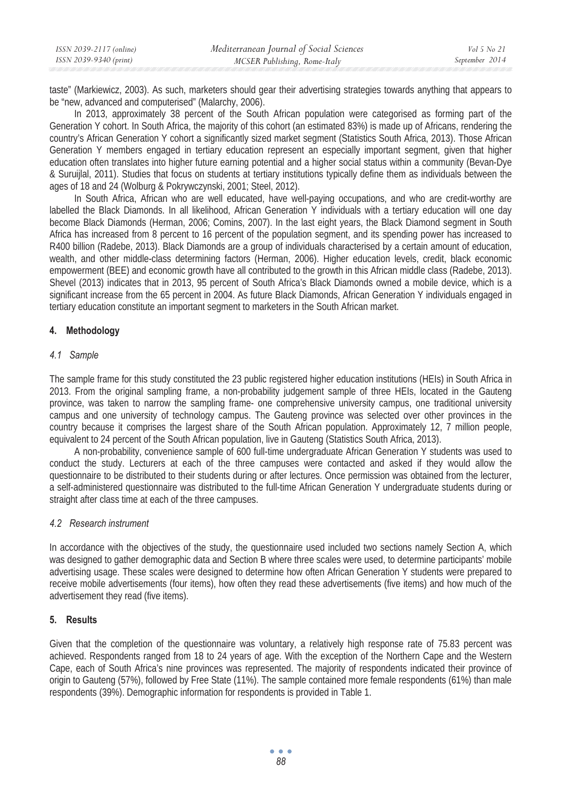| ISSN 2039-2117 (online) | Mediterranean Journal of Social Sciences | Vol 5 No 21    |
|-------------------------|------------------------------------------|----------------|
| ISSN 2039-9340 (print)  | MCSER Publishing, Rome-Italy             | September 2014 |

taste" (Markiewicz, 2003). As such, marketers should gear their advertising strategies towards anything that appears to be "new, advanced and computerised" (Malarchy, 2006).

In 2013, approximately 38 percent of the South African population were categorised as forming part of the Generation Y cohort. In South Africa, the majority of this cohort (an estimated 83%) is made up of Africans, rendering the country's African Generation Y cohort a significantly sized market segment (Statistics South Africa, 2013). Those African Generation Y members engaged in tertiary education represent an especially important segment, given that higher education often translates into higher future earning potential and a higher social status within a community (Bevan-Dye & Suruijlal, 2011). Studies that focus on students at tertiary institutions typically define them as individuals between the ages of 18 and 24 (Wolburg & Pokrywczynski, 2001; Steel, 2012).

In South Africa, African who are well educated, have well-paying occupations, and who are credit-worthy are labelled the Black Diamonds. In all likelihood, African Generation Y individuals with a tertiary education will one day become Black Diamonds (Herman, 2006; Comins, 2007). In the last eight years, the Black Diamond segment in South Africa has increased from 8 percent to 16 percent of the population segment, and its spending power has increased to R400 billion (Radebe, 2013). Black Diamonds are a group of individuals characterised by a certain amount of education, wealth, and other middle-class determining factors (Herman, 2006). Higher education levels, credit, black economic empowerment (BEE) and economic growth have all contributed to the growth in this African middle class (Radebe, 2013). Shevel (2013) indicates that in 2013, 95 percent of South Africa's Black Diamonds owned a mobile device, which is a significant increase from the 65 percent in 2004. As future Black Diamonds, African Generation Y individuals engaged in tertiary education constitute an important segment to marketers in the South African market.

## **4. Methodology**

#### *4.1 Sample*

The sample frame for this study constituted the 23 public registered higher education institutions (HEIs) in South Africa in 2013. From the original sampling frame, a non-probability judgement sample of three HEIs, located in the Gauteng province, was taken to narrow the sampling frame- one comprehensive university campus, one traditional university campus and one university of technology campus. The Gauteng province was selected over other provinces in the country because it comprises the largest share of the South African population. Approximately 12, 7 million people, equivalent to 24 percent of the South African population, live in Gauteng (Statistics South Africa, 2013).

A non-probability, convenience sample of 600 full-time undergraduate African Generation Y students was used to conduct the study. Lecturers at each of the three campuses were contacted and asked if they would allow the questionnaire to be distributed to their students during or after lectures. Once permission was obtained from the lecturer, a self-administered questionnaire was distributed to the full-time African Generation Y undergraduate students during or straight after class time at each of the three campuses.

#### *4.2 Research instrument*

In accordance with the objectives of the study, the questionnaire used included two sections namely Section A, which was designed to gather demographic data and Section B where three scales were used, to determine participants' mobile advertising usage. These scales were designed to determine how often African Generation Y students were prepared to receive mobile advertisements (four items), how often they read these advertisements (five items) and how much of the advertisement they read (five items).

#### **5. Results**

Given that the completion of the questionnaire was voluntary, a relatively high response rate of 75.83 percent was achieved. Respondents ranged from 18 to 24 years of age. With the exception of the Northern Cape and the Western Cape, each of South Africa's nine provinces was represented. The majority of respondents indicated their province of origin to Gauteng (57%), followed by Free State (11%). The sample contained more female respondents (61%) than male respondents (39%). Demographic information for respondents is provided in Table 1.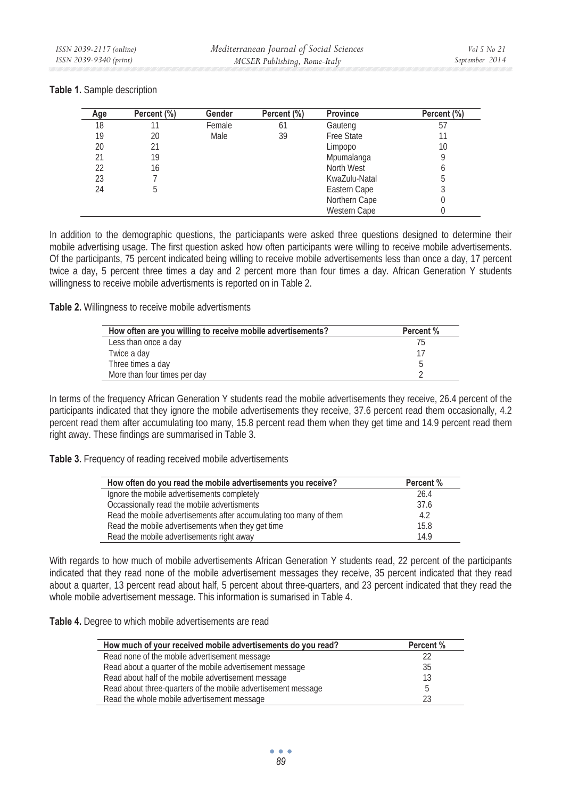## **Table 1.** Sample description

| Age | Percent (%) | Gender | Percent (%) | <b>Province</b>   | Percent (%) |
|-----|-------------|--------|-------------|-------------------|-------------|
| 18  |             | Female | 61          | Gauteng           | 57          |
| 19  | 20          | Male   | 39          | <b>Free State</b> | 11          |
| 20  | 21          |        |             | Limpopo           | 10          |
| 21  | 19          |        |             | Mpumalanga        |             |
| 22  | 16          |        |             | North West        | b           |
| 23  |             |        |             | KwaZulu-Natal     | b           |
| 24  | b.          |        |             | Eastern Cape      |             |
|     |             |        |             | Northern Cape     |             |
|     |             |        |             | Western Cape      |             |

In addition to the demographic questions, the particiapants were asked three questions designed to determine their mobile advertising usage. The first question asked how often participants were willing to receive mobile advertisements. Of the participants, 75 percent indicated being willing to receive mobile advertisements less than once a day, 17 percent twice a day, 5 percent three times a day and 2 percent more than four times a day. African Generation Y students willingness to receive mobile advertisments is reported on in Table 2.

**Table 2.** Willingness to receive mobile advertisments

| How often are you willing to receive mobile advertisements? | Percent % |
|-------------------------------------------------------------|-----------|
| Less than once a day                                        |           |
| Twice a day                                                 |           |
| Three times a day                                           |           |
| More than four times per day                                |           |

In terms of the frequency African Generation Y students read the mobile advertisements they receive, 26.4 percent of the participants indicated that they ignore the mobile advertisements they receive, 37.6 percent read them occasionally, 4.2 percent read them after accumulating too many, 15.8 percent read them when they get time and 14.9 percent read them right away. These findings are summarised in Table 3.

**Table 3.** Frequency of reading received mobile advertisements

| How often do you read the mobile advertisements you receive?       | Percent % |
|--------------------------------------------------------------------|-----------|
| Ignore the mobile advertisements completely                        | 26.4      |
| Occassionally read the mobile advertisments                        | 37.6      |
| Read the mobile advertisements after accumulating too many of them | 4.2       |
| Read the mobile advertisements when they get time                  | 15.8      |
| Read the mobile advertisements right away                          | 14.9      |

With regards to how much of mobile advertisements African Generation Y students read, 22 percent of the participants indicated that they read none of the mobile advertisement messages they receive, 35 percent indicated that they read about a quarter, 13 percent read about half, 5 percent about three-quarters, and 23 percent indicated that they read the whole mobile advertisement message. This information is sumarised in Table 4.

**Table 4.** Degree to which mobile advertisements are read

| How much of your received mobile advertisements do you read?  | Percent % |
|---------------------------------------------------------------|-----------|
| Read none of the mobile advertisement message                 |           |
| Read about a quarter of the mobile advertisement message      | 35        |
| Read about half of the mobile advertisement message           | 13        |
| Read about three-quarters of the mobile advertisement message |           |
| Read the whole mobile advertisement message                   | 23        |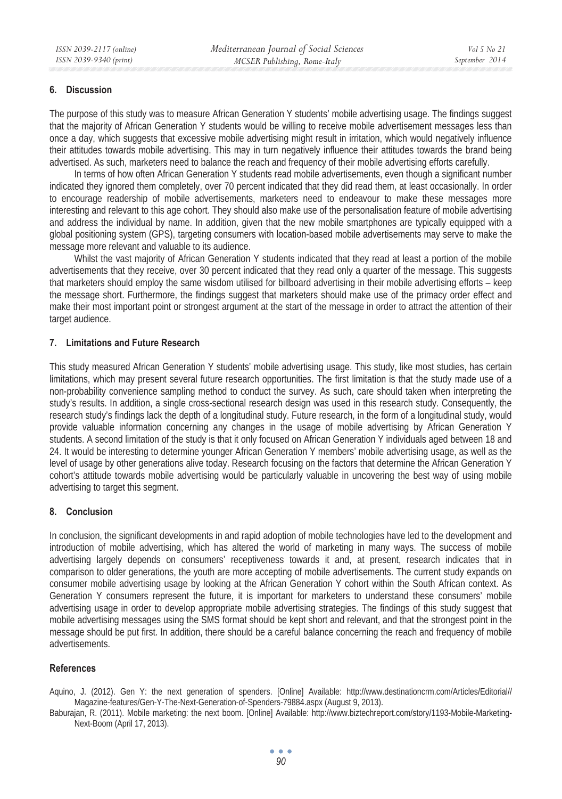#### **6. Discussion**

The purpose of this study was to measure African Generation Y students' mobile advertising usage. The findings suggest that the majority of African Generation Y students would be willing to receive mobile advertisement messages less than once a day, which suggests that excessive mobile advertising might result in irritation, which would negatively influence their attitudes towards mobile advertising. This may in turn negatively influence their attitudes towards the brand being advertised. As such, marketers need to balance the reach and frequency of their mobile advertising efforts carefully.

In terms of how often African Generation Y students read mobile advertisements, even though a significant number indicated they ignored them completely, over 70 percent indicated that they did read them, at least occasionally. In order to encourage readership of mobile advertisements, marketers need to endeavour to make these messages more interesting and relevant to this age cohort. They should also make use of the personalisation feature of mobile advertising and address the individual by name. In addition, given that the new mobile smartphones are typically equipped with a global positioning system (GPS), targeting consumers with location-based mobile advertisements may serve to make the message more relevant and valuable to its audience.

Whilst the vast majority of African Generation Y students indicated that they read at least a portion of the mobile advertisements that they receive, over 30 percent indicated that they read only a quarter of the message. This suggests that marketers should employ the same wisdom utilised for billboard advertising in their mobile advertising efforts – keep the message short. Furthermore, the findings suggest that marketers should make use of the primacy order effect and make their most important point or strongest argument at the start of the message in order to attract the attention of their target audience.

## **7. Limitations and Future Research**

This study measured African Generation Y students' mobile advertising usage. This study, like most studies, has certain limitations, which may present several future research opportunities. The first limitation is that the study made use of a non-probability convenience sampling method to conduct the survey. As such, care should taken when interpreting the study's results. In addition, a single cross-sectional research design was used in this research study. Consequently, the research study's findings lack the depth of a longitudinal study. Future research, in the form of a longitudinal study, would provide valuable information concerning any changes in the usage of mobile advertising by African Generation Y students. A second limitation of the study is that it only focused on African Generation Y individuals aged between 18 and 24. It would be interesting to determine younger African Generation Y members' mobile advertising usage, as well as the level of usage by other generations alive today. Research focusing on the factors that determine the African Generation Y cohort's attitude towards mobile advertising would be particularly valuable in uncovering the best way of using mobile advertising to target this segment.

#### **8. Conclusion**

In conclusion, the significant developments in and rapid adoption of mobile technologies have led to the development and introduction of mobile advertising, which has altered the world of marketing in many ways. The success of mobile advertising largely depends on consumers' receptiveness towards it and, at present, research indicates that in comparison to older generations, the youth are more accepting of mobile advertisements. The current study expands on consumer mobile advertising usage by looking at the African Generation Y cohort within the South African context. As Generation Y consumers represent the future, it is important for marketers to understand these consumers' mobile advertising usage in order to develop appropriate mobile advertising strategies. The findings of this study suggest that mobile advertising messages using the SMS format should be kept short and relevant, and that the strongest point in the message should be put first. In addition, there should be a careful balance concerning the reach and frequency of mobile advertisements.

## **References**

Aquino, J. (2012). Gen Y: the next generation of spenders. [Online] Available: http://www.destinationcrm.com/Articles/Editorial// Magazine-features/Gen-Y-The-Next-Generation-of-Spenders-79884.aspx (August 9, 2013).

Baburajan, R. (2011). Mobile marketing: the next boom. [Online] Available: http://www.biztechreport.com/story/1193-Mobile-Marketing-Next-Boom (April 17, 2013).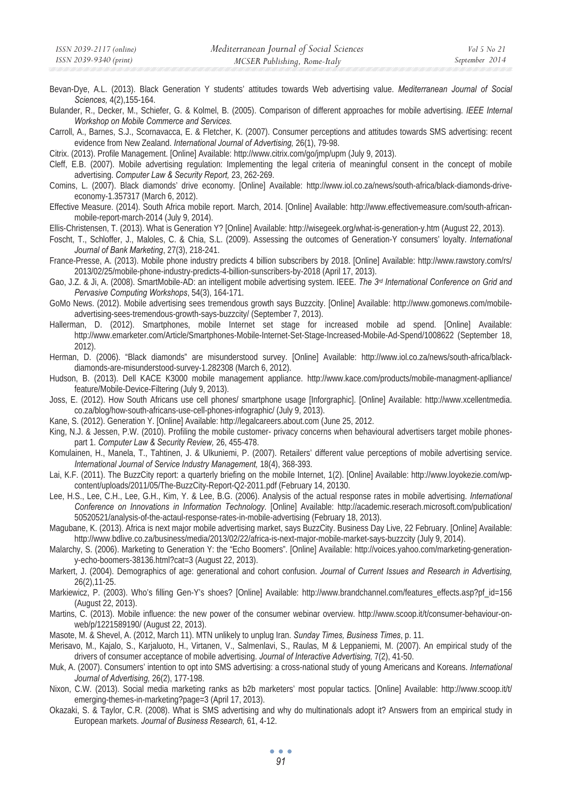- Bevan-Dye, A.L. (2013). Black Generation Y students' attitudes towards Web advertising value. *Mediterranean Journal of Social Sciences,* 4(2),155-164.
- Bulander, R., Decker, M., Schiefer, G. & Kolmel, B. (2005). Comparison of different approaches for mobile advertising. *IEEE Internal Workshop on Mobile Commerce and Services.*

Carroll, A., Barnes, S.J., Scornavacca, E. & Fletcher, K. (2007). Consumer perceptions and attitudes towards SMS advertising: recent evidence from New Zealand. *International Journal of Advertising,* 26(1), 79-98.

- Citrix. (2013). Profile Management. [Online] Available: http://www.citrix.com/go/jmp/upm (July 9, 2013).
- Cleff, E.B. (2007). Mobile advertising regulation: Implementing the legal criteria of meaningful consent in the concept of mobile advertising. *Computer Law & Security Report,* 23, 262-269.
- Comins, L. (2007). Black diamonds' drive economy. [Online] Available: http://www.iol.co.za/news/south-africa/black-diamonds-driveeconomy-1.357317 (March 6, 2012).
- Effective Measure. (2014). South Africa mobile report. March, 2014. [Online] Available: http://www.effectivemeasure.com/south-africanmobile-report-march-2014 (July 9, 2014).
- Ellis-Christensen, T. (2013). What is Generation Y? [Online] Available: http://wisegeek.org/what-is-generation-y.htm (August 22, 2013).
- Foscht, T., Schloffer, J., Maloles, C. & Chia, S.L. (2009). Assessing the outcomes of Generation-Y consumers' loyalty. *International Journal of Bank Marketing*, 27(3), 218-241.
- France-Presse, A. (2013). Mobile phone industry predicts 4 billion subscribers by 2018. [Online] Available: http://www.rawstory.com/rs/ 2013/02/25/mobile-phone-industry-predicts-4-billion-sunscribers-by-2018 (April 17, 2013).
- Gao, J.Z. & Ji, A. (2008). SmartMobile-AD: an intelligent mobile advertising system. IEEE. *The 3rd International Conference on Grid and Pervasive Computing Workshops*, 54(3), 164-171.
- GoMo News. (2012). Mobile advertising sees tremendous growth says Buzzcity. [Online] Available: http://www.gomonews.com/mobileadvertising-sees-tremendous-growth-says-buzzcity/ (September 7, 2013).
- Hallerman, D. (2012). Smartphones, mobile Internet set stage for increased mobile ad spend. [Online] Available: http://www.emarketer.com/Article/Smartphones-Mobile-Internet-Set-Stage-Increased-Mobile-Ad-Spend/1008622 (September 18, 2012).
- Herman, D. (2006). "Black diamonds" are misunderstood survey. [Online] Available: http://www.iol.co.za/news/south-africa/blackdiamonds-are-misunderstood-survey-1.282308 (March 6, 2012).
- Hudson, B. (2013). Dell KACE K3000 mobile management appliance. http://www.kace.com/products/mobile-managment-aplliance/ feature/Mobile-Device-Filtering (July 9, 2013).
- Joss, E. (2012). How South Africans use cell phones/ smartphone usage [Inforgraphic]. [Online] Available: http://www.xcellentmedia. co.za/blog/how-south-africans-use-cell-phones-infographic/ (July 9, 2013).
- Kane, S. (2012). Generation Y. [Online] Available: http://legalcareers.about.com (June 25, 2012.
- King, N.J. & Jessen, P.W. (2010). Profiling the mobile customer- privacy concerns when behavioural advertisers target mobile phonespart 1. *Computer Law & Security Review,* 26, 455-478.
- Komulainen, H., Manela, T., Tahtinen, J. & Ulkuniemi, P. (2007). Retailers' different value perceptions of mobile advertising service. *International Journal of Service Industry Management,* 18(4), 368-393.
- Lai, K.F. (2011). The BuzzCity report: a quarterly briefing on the mobile Internet, 1(2). [Online] Available: http://www.loyokezie.com/wpcontent/uploads/2011/05/The-BuzzCity-Report-Q2-2011.pdf (February 14, 20130.
- Lee, H.S., Lee, C.H., Lee, G.H., Kim, Y. & Lee, B.G. (2006). Analysis of the actual response rates in mobile advertising. *International Conference on Innovations in Information Technology.* [Online] Available: http://academic.reserach.microsoft.com/publication/ 50520521/analysis-of-the-actaul-response-rates-in-mobile-advertising (February 18, 2013).
- Magubane, K. (2013). Africa is next major mobile advertising market, says BuzzCity. Business Day Live, 22 February. [Online] Available: http://www.bdlive.co.za/business/media/2013/02/22/africa-is-next-major-mobile-market-says-buzzcity (July 9, 2014).
- Malarchy, S. (2006). Marketing to Generation Y: the "Echo Boomers". [Online] Available: http://voices.yahoo.com/marketing-generationy-echo-boomers-38136.html?cat=3 (August 22, 2013).
- Markert, J. (2004). Demographics of age: generational and cohort confusion. *Journal of Current Issues and Research in Advertising,*  26(2),11-25.
- Markiewicz, P. (2003). Who's filling Gen-Y's shoes? [Online] Available: http://www.brandchannel.com/features\_effects.asp?pf\_id=156 (August 22, 2013).
- Martins, C. (2013). Mobile influence: the new power of the consumer webinar overview. http://www.scoop.it/t/consumer-behaviour-onweb/p/1221589190/ (August 22, 2013).
- Masote, M. & Shevel, A. (2012, March 11). MTN unlikely to unplug Iran. *Sunday Times, Business Times*, p. 11.
- Merisavo, M., Kajalo, S., Karjaluoto, H., Virtanen, V., Salmenlavi, S., Raulas, M & Leppaniemi, M. (2007). An empirical study of the drivers of consumer acceptance of mobile advertising. *Journal of Interactive Advertising,* 7(2), 41-50.
- Muk, A. (2007). Consumers' intention to opt into SMS advertising: a cross-national study of young Americans and Koreans. *International Journal of Advertising,* 26(2), 177-198.
- Nixon, C.W. (2013). Social media marketing ranks as b2b marketers' most popular tactics. [Online] Available: http://www.scoop.it/t/ emerging-themes-in-marketing?page=3 (April 17, 2013).
- Okazaki, S. & Taylor, C.R. (2008). What is SMS advertising and why do multinationals adopt it? Answers from an empirical study in European markets. *Journal of Business Research,* 61, 4-12.